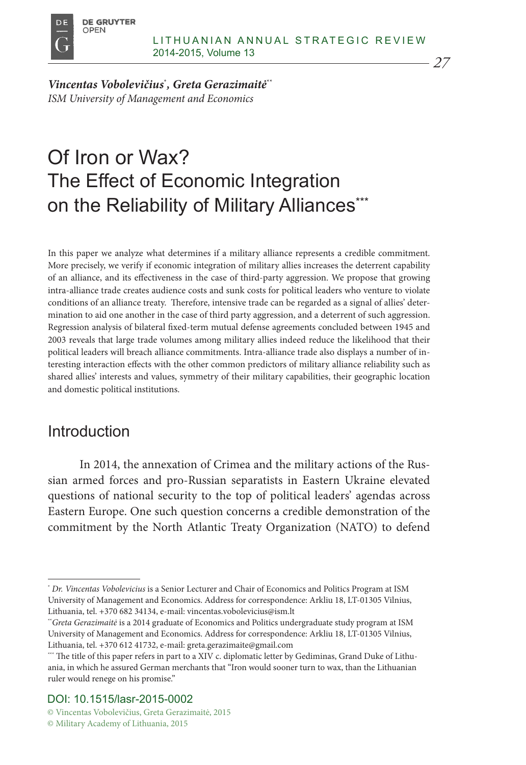

*Vincentas Vobolevičius*\* *, Greta Gerazimaitė*\*\* *ISM University of Management and Economics*

# Of Iron or Wax? The Effect of Economic Integration on the Reliability of Military Alliances\*\*\*

In this paper we analyze what determines if a military alliance represents a credible commitment. More precisely, we verify if economic integration of military allies increases the deterrent capability of an alliance, and its effectiveness in the case of third-party aggression. We propose that growing intra-alliance trade creates audience costs and sunk costs for political leaders who venture to violate conditions of an alliance treaty. Therefore, intensive trade can be regarded as a signal of allies' determination to aid one another in the case of third party aggression, and a deterrent of such aggression. Regression analysis of bilateral fixed-term mutual defense agreements concluded between 1945 and 2003 reveals that large trade volumes among military allies indeed reduce the likelihood that their political leaders will breach alliance commitments. Intra-alliance trade also displays a number of interesting interaction effects with the other common predictors of military alliance reliability such as shared allies' interests and values, symmetry of their military capabilities, their geographic location and domestic political institutions.

## Introduction

In 2014, the annexation of Crimea and the military actions of the Russian armed forces and pro-Russian separatists in Eastern Ukraine elevated questions of national security to the top of political leaders' agendas across Eastern Europe. One such question concerns a credible demonstration of the commitment by the North Atlantic Treaty Organization (NATO) to defend

#### DOI: 10.1515/lasr-2015-0002

<sup>\*</sup> *Dr. Vincentas Vobolevicius* is a Senior Lecturer and Chair of Economics and Politics Program at ISM University of Management and Economics. Address for correspondence: Arkliu 18, LT-01305 Vilnius, Lithuania, tel. +370 682 34134, e-mail: vincentas.vobolevicius@ism.lt

<sup>\*\*</sup>*Greta Gerazimaitė* is a 2014 graduate of Economics and Politics undergraduate study program at ISM University of Management and Economics. Address for correspondence: Arkliu 18, LT-01305 Vilnius, Lithuania, tel. +370 612 41732, e-mail: greta.gerazimaite@gmail.com

<sup>\*\*\*</sup> The title of this paper refers in part to a XIV c. diplomatic letter by Gediminas, Grand Duke of Lithuania, in which he assured German merchants that "Iron would sooner turn to wax, than the Lithuanian ruler would renege on his promise."

<sup>©</sup> Vincentas Vobolevičius, Greta Gerazimaitė, 2015 © Military Academy of Lithuania, 2015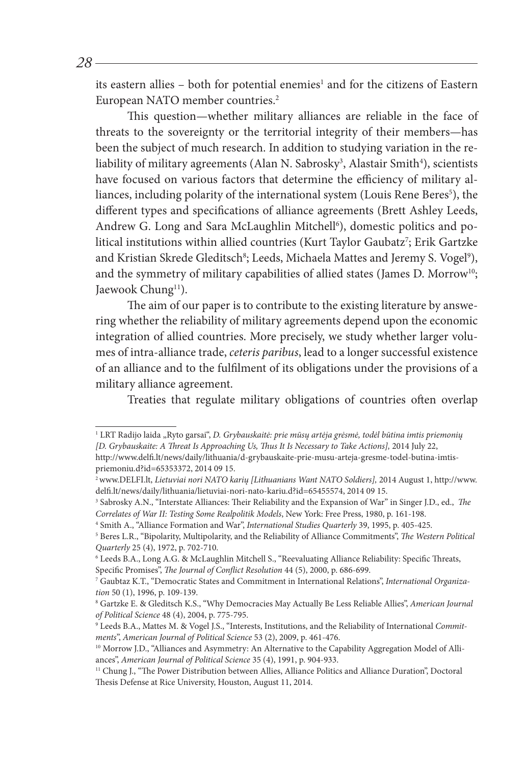its eastern allies – both for potential enemies<sup>1</sup> and for the citizens of Eastern European NATO member countries.<sup>2</sup>

This question—whether military alliances are reliable in the face of threats to the sovereignty or the territorial integrity of their members—has been the subject of much research. In addition to studying variation in the reliability of military agreements (Alan N. Sabrosky<sup>3</sup>, Alastair Smith<sup>4</sup>), scientists have focused on various factors that determine the efficiency of military alliances, including polarity of the international system (Louis Rene Beres<sup>5</sup>), the different types and specifications of alliance agreements (Brett Ashley Leeds, Andrew G. Long and Sara McLaughlin Mitchell<sup>6</sup>), domestic politics and political institutions within allied countries (Kurt Taylor Gaubatz<sup>7</sup>; Erik Gartzke and Kristian Skrede Gleditsch $^{\rm 8}$ ; Leeds, Michaela Mattes and Jeremy S. Vogel $^{\rm 9}$ ), and the symmetry of military capabilities of allied states (James D. Morrow<sup>10</sup>; Jaewook Chung<sup>11</sup>).

The aim of our paper is to contribute to the existing literature by answering whether the reliability of military agreements depend upon the economic integration of allied countries. More precisely, we study whether larger volumes of intra-alliance trade, *ceteris paribus*, lead to a longer successful existence of an alliance and to the fulfilment of its obligations under the provisions of a military alliance agreement.

Treaties that regulate military obligations of countries often overlap

<sup>&</sup>lt;sup>1</sup> LRT Radijo laida "Ryto garsai", *D. Grybauskaitė: prie mūsų artėja grėsmė, todėl būtina imtis priemonių [D. Grybauskaite: A Threat Is Approaching Us, Thus It Is Necessary to Take Actions],* 2014 July 22, http://www.delfi.lt/news/daily/lithuania/d-grybauskaite-prie-musu-arteja-gresme-todel-butina-imtis-

priemoniu.d?id=65353372, 2014 09 15.<br><sup>2</sup>www.DELFI.lt, *Lietuviai nori NATO karių [Lithuanians Want NATO Soldiers],* 2014 August 1, http://www. delfi.lt/news/daily/lithuania/lietuviai-nori-nato-kariu.d?id=65455574, 2014 09 15. 3

<sup>&</sup>lt;sup>3</sup> Sabrosky A.N., "Interstate Alliances: Their Reliability and the Expansion of War" in Singer J.D., ed., *The Correlates of War II: Testing Some Realpolitik Models*, New York: Free Press, 1980, p. 161-198. 4

Smith A., "Alliance Formation and War", *International Studies Quarterly* 39, 1995, p. 405-425. 5

<sup>&</sup>lt;sup>5</sup> Beres L.R., "Bipolarity, Multipolarity, and the Reliability of Alliance Commitments", *The Western Political Quarterly* 25 (4), 1972, p. 702-710.

<sup>6</sup> Leeds B.A., Long A.G. & McLaughlin Mitchell S., "Reevaluating Alliance Reliability: Specific Threats, Specific Promises", *The Journal of Conflict Resolution* 44 (5), 2000, p. 686-699.

<sup>7</sup> Gaubtaz K.T., "Democratic States and Commitment in International Relations", *International Organization* 50 (1), 1996, p. 109-139.

Gartzke E. & Gleditsch K.S., "Why Democracies May Actually Be Less Reliable Allies", *American Journal of Political Science* 48 (4), 2004, p. 775-795.

<sup>9</sup> Leeds B.A., Mattes M. & Vogel J.S., "Interests, Institutions, and the Reliability of International *Commitments*", *American Journal of Political Science* 53 (2), 2009, p. 461-476.

<sup>&</sup>lt;sup>10</sup> Morrow J.D., "Alliances and Asymmetry: An Alternative to the Capability Aggregation Model of Alliances", *American Journal of Political Science* 35 (4), 1991, p. 904-933.<br><sup>11</sup> Chung J., "The Power Distribution between Allies, Alliance Politics and Alliance Duration", Doctoral

Thesis Defense at Rice University, Houston, August 11, 2014.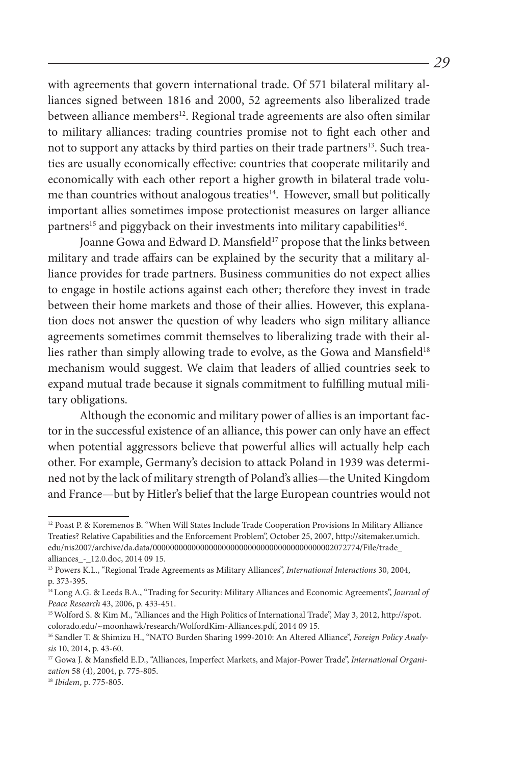with agreements that govern international trade. Of 571 bilateral military alliances signed between 1816 and 2000, 52 agreements also liberalized trade between alliance members<sup>12</sup>. Regional trade agreements are also often similar to military alliances: trading countries promise not to fight each other and not to support any attacks by third parties on their trade partners<sup>13</sup>. Such treaties are usually economically effective: countries that cooperate militarily and economically with each other report a higher growth in bilateral trade volume than countries without analogous treaties<sup>14</sup>. However, small but politically important allies sometimes impose protectionist measures on larger alliance partners<sup>15</sup> and piggyback on their investments into military capabilities<sup>16</sup>.

Joanne Gowa and Edward D. Mansfield<sup>17</sup> propose that the links between military and trade affairs can be explained by the security that a military alliance provides for trade partners. Business communities do not expect allies to engage in hostile actions against each other; therefore they invest in trade between their home markets and those of their allies. However, this explanation does not answer the question of why leaders who sign military alliance agreements sometimes commit themselves to liberalizing trade with their allies rather than simply allowing trade to evolve, as the Gowa and Mansfield<sup>18</sup> mechanism would suggest. We claim that leaders of allied countries seek to expand mutual trade because it signals commitment to fulfilling mutual military obligations.

Although the economic and military power of allies is an important factor in the successful existence of an alliance, this power can only have an effect when potential aggressors believe that powerful allies will actually help each other. For example, Germany's decision to attack Poland in 1939 was determined not by the lack of military strength of Poland's allies—the United Kingdom and France—but by Hitler's belief that the large European countries would not

<sup>&</sup>lt;sup>12</sup> Poast P. & Koremenos B. "When Will States Include Trade Cooperation Provisions In Military Alliance Treaties? Relative Capabilities and the Enforcement Problem", October 25, 2007, http://sitemaker.umich. edu/nis2007/archive/da.data/000000000000000000000000000000000000000002072774/File/trade\_ alliances\_-\_12.0.doc, 2014 09 15.

<sup>13</sup> Powers K.L., "Regional Trade Agreements as Military Alliances", *International Interactions* 30, 2004, p. 373-395.

<sup>14</sup>Long A.G. & Leeds B.A., "Trading for Security: Military Alliances and Economic Agreements", *Journal of Peace Research* 43, 2006, p. 433-451.

<sup>15</sup>Wolford S. & Kim M., "Alliances and the High Politics of International Trade", May 3, 2012, http://spot. colorado.edu/~moonhawk/research/WolfordKim-Alliances.pdf, 2014 09 15.

<sup>16</sup> Sandler T. & Shimizu H., "NATO Burden Sharing 1999-2010: An Altered Alliance", *Foreign Policy Analysis* 10, 2014, p. 43-60.

<sup>17</sup> Gowa J. & Mansfield E.D., "Alliances, Imperfect Markets, and Major-Power Trade", *International Organization* 58 (4), 2004, p. 775-805.

<sup>18</sup> *Ibidem*, p. 775-805.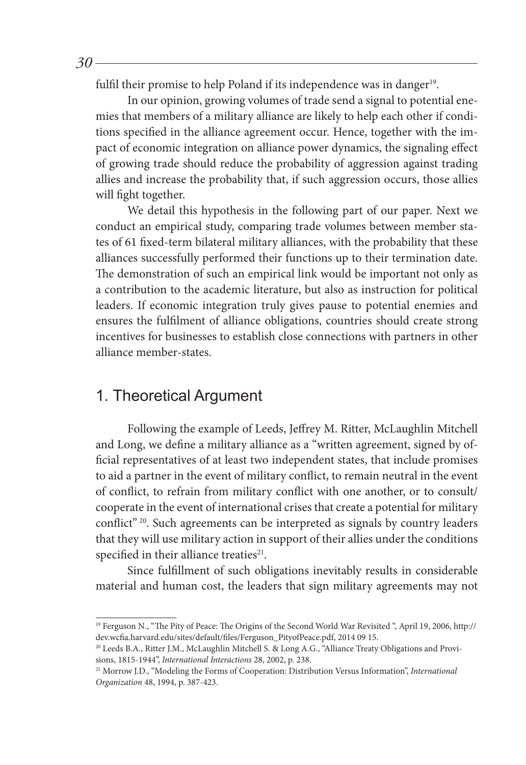fulfil their promise to help Poland if its independence was in danger<sup>19</sup>.

In our opinion, growing volumes of trade send a signal to potential enemies that members of a military alliance are likely to help each other if conditions specified in the alliance agreement occur. Hence, together with the impact of economic integration on alliance power dynamics, the signaling effect of growing trade should reduce the probability of aggression against trading allies and increase the probability that, if such aggression occurs, those allies will fight together.

We detail this hypothesis in the following part of our paper. Next we conduct an empirical study, comparing trade volumes between member states of 61 fixed-term bilateral military alliances, with the probability that these alliances successfully performed their functions up to their termination date. The demonstration of such an empirical link would be important not only as a contribution to the academic literature, but also as instruction for political leaders. If economic integration truly gives pause to potential enemies and ensures the fulfilment of alliance obligations, countries should create strong incentives for businesses to establish close connections with partners in other alliance member-states.

### 1. Theoretical Argument

Following the example of Leeds, Jeffrey M. Ritter, McLaughlin Mitchell and Long, we define a military alliance as a "written agreement, signed by official representatives of at least two independent states, that include promises to aid a partner in the event of military conflict, to remain neutral in the event of conflict, to refrain from military conflict with one another, or to consult/ cooperate in the event of international crises that create a potential for military conflict" 20. Such agreements can be interpreted as signals by country leaders that they will use military action in support of their allies under the conditions specified in their alliance treaties $21$ .

Since fulfillment of such obligations inevitably results in considerable material and human cost, the leaders that sign military agreements may not

<sup>19</sup> Ferguson N., "The Pity of Peace: The Origins of the Second World War Revisited ", April 19, 2006, http:// dev.wcfia.harvard.edu/sites/default/files/Ferguson\_PityofPeace.pdf, 2014 09 15. 20 Leeds B.A., Ritter J.M., McLaughlin Mitchell S. & Long A.G., "Alliance Treaty Obligations and Provi-

sions, 1815-1944", *International Interactions* 28, 2002, p. 238.

<sup>21</sup> Morrow J.D., "Modeling the Forms of Cooperation: Distribution Versus Information", *International Organization* 48, 1994, p. 387-423.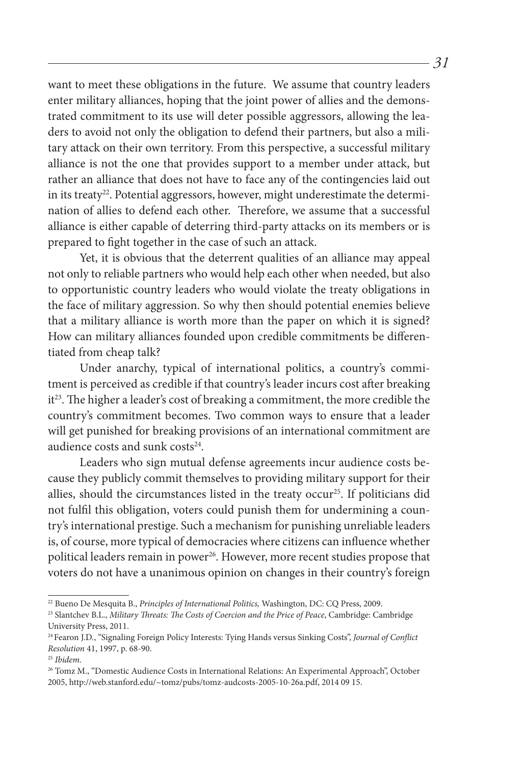want to meet these obligations in the future. We assume that country leaders enter military alliances, hoping that the joint power of allies and the demonstrated commitment to its use will deter possible aggressors, allowing the leaders to avoid not only the obligation to defend their partners, but also a military attack on their own territory. From this perspective, a successful military alliance is not the one that provides support to a member under attack, but rather an alliance that does not have to face any of the contingencies laid out in its treaty<sup>22</sup>. Potential aggressors, however, might underestimate the determination of allies to defend each other. Therefore, we assume that a successful alliance is either capable of deterring third-party attacks on its members or is prepared to fight together in the case of such an attack.

Yet, it is obvious that the deterrent qualities of an alliance may appeal not only to reliable partners who would help each other when needed, but also to opportunistic country leaders who would violate the treaty obligations in the face of military aggression. So why then should potential enemies believe that a military alliance is worth more than the paper on which it is signed? How can military alliances founded upon credible commitments be differentiated from cheap talk?

Under anarchy, typical of international politics, a country's commitment is perceived as credible if that country's leader incurs cost after breaking it<sup>23</sup>. The higher a leader's cost of breaking a commitment, the more credible the country's commitment becomes. Two common ways to ensure that a leader will get punished for breaking provisions of an international commitment are audience costs and sunk costs<sup>24</sup>.

Leaders who sign mutual defense agreements incur audience costs because they publicly commit themselves to providing military support for their allies, should the circumstances listed in the treaty occur<sup>25</sup>. If politicians did not fulfil this obligation, voters could punish them for undermining a country's international prestige. Such a mechanism for punishing unreliable leaders is, of course, more typical of democracies where citizens can influence whether political leaders remain in power<sup>26</sup>. However, more recent studies propose that voters do not have a unanimous opinion on changes in their country's foreign

<sup>&</sup>lt;sup>22</sup> Bueno De Mesquita B., *Principles of International Politics*, Washington, DC: CQ Press, 2009.<br><sup>23</sup> Slantchev B.L., *Military Threats: The Costs of Coercion and the Price of Peace*, Cambridge: Cambridge

University Press, 2011.

<sup>24</sup> Fearon J.D., "Signaling Foreign Policy Interests: Tying Hands versus Sinking Costs", *Journal of Conflict Resolution* 41, 1997, p. 68-90.

<sup>25</sup> *Ibidem.*

<sup>&</sup>lt;sup>26</sup> Tomz M., "Domestic Audience Costs in International Relations: An Experimental Approach", October 2005, http://web.stanford.edu/~tomz/pubs/tomz-audcosts-2005-10-26a.pdf, 2014 09 15.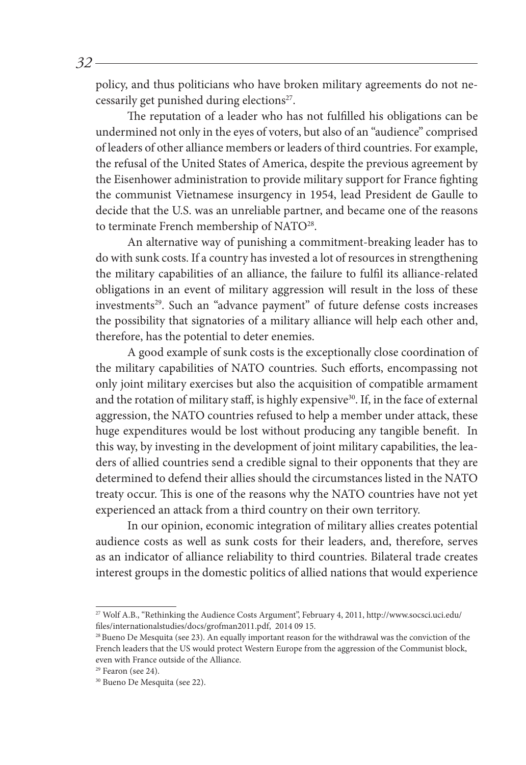policy, and thus politicians who have broken military agreements do not necessarily get punished during elections<sup>27</sup>.

The reputation of a leader who has not fulfilled his obligations can be undermined not only in the eyes of voters, but also of an "audience" comprised of leaders of other alliance members or leaders of third countries. For example, the refusal of the United States of America, despite the previous agreement by the Eisenhower administration to provide military support for France fighting the communist Vietnamese insurgency in 1954, lead President de Gaulle to decide that the U.S. was an unreliable partner, and became one of the reasons to terminate French membership of NATO<sup>28</sup>.

An alternative way of punishing a commitment-breaking leader has to do with sunk costs. If a country has invested a lot of resources in strengthening the military capabilities of an alliance, the failure to fulfil its alliance-related obligations in an event of military aggression will result in the loss of these investments<sup>29</sup>. Such an "advance payment" of future defense costs increases the possibility that signatories of a military alliance will help each other and, therefore, has the potential to deter enemies.

A good example of sunk costs is the exceptionally close coordination of the military capabilities of NATO countries. Such efforts, encompassing not only joint military exercises but also the acquisition of compatible armament and the rotation of military staff, is highly expensive<sup>30</sup>. If, in the face of external aggression, the NATO countries refused to help a member under attack, these huge expenditures would be lost without producing any tangible benefit. In this way, by investing in the development of joint military capabilities, the leaders of allied countries send a credible signal to their opponents that they are determined to defend their allies should the circumstances listed in the NATO treaty occur. This is one of the reasons why the NATO countries have not yet experienced an attack from a third country on their own territory.

In our opinion, economic integration of military allies creates potential audience costs as well as sunk costs for their leaders, and, therefore, serves as an indicator of alliance reliability to third countries. Bilateral trade creates interest groups in the domestic politics of allied nations that would experience

<sup>27</sup> Wolf A.B., "Rethinking the Audience Costs Argument", February 4, 2011, http://www.socsci.uci.edu/ files/internationalstudies/docs/grofman2011.pdf, 2014 09 15.

<sup>&</sup>lt;sup>28</sup> Bueno De Mesquita (see 23). An equally important reason for the withdrawal was the conviction of the French leaders that the US would protect Western Europe from the aggression of the Communist block, even with France outside of the Alliance.

<sup>&</sup>lt;sup>29</sup> Fearon (see 24).

<sup>30</sup> Bueno De Mesquita (see 22).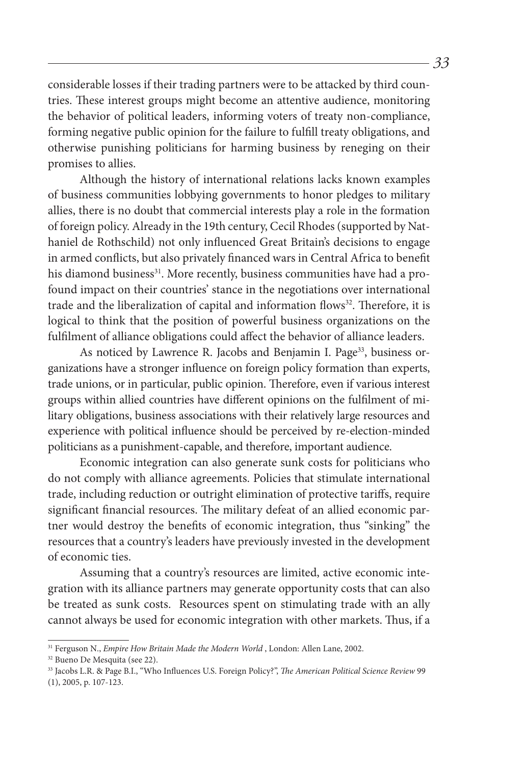considerable losses if their trading partners were to be attacked by third countries. These interest groups might become an attentive audience, monitoring the behavior of political leaders, informing voters of treaty non-compliance, forming negative public opinion for the failure to fulfill treaty obligations, and otherwise punishing politicians for harming business by reneging on their promises to allies.

Although the history of international relations lacks known examples of business communities lobbying governments to honor pledges to military allies, there is no doubt that commercial interests play a role in the formation of foreign policy. Already in the 19th century, Cecil Rhodes (supported by Nathaniel de Rothschild) not only influenced Great Britain's decisions to engage in armed conflicts, but also privately financed wars in Central Africa to benefit his diamond business<sup>31</sup>. More recently, business communities have had a profound impact on their countries' stance in the negotiations over international trade and the liberalization of capital and information flows<sup>32</sup>. Therefore, it is logical to think that the position of powerful business organizations on the fulfilment of alliance obligations could affect the behavior of alliance leaders.

As noticed by Lawrence R. Jacobs and Benjamin I. Page<sup>33</sup>, business organizations have a stronger influence on foreign policy formation than experts, trade unions, or in particular, public opinion. Therefore, even if various interest groups within allied countries have different opinions on the fulfilment of military obligations, business associations with their relatively large resources and experience with political influence should be perceived by re-election-minded politicians as a punishment-capable, and therefore, important audience.

Economic integration can also generate sunk costs for politicians who do not comply with alliance agreements. Policies that stimulate international trade, including reduction or outright elimination of protective tariffs, require significant financial resources. The military defeat of an allied economic partner would destroy the benefits of economic integration, thus "sinking" the resources that a country's leaders have previously invested in the development of economic ties.

Assuming that a country's resources are limited, active economic integration with its alliance partners may generate opportunity costs that can also be treated as sunk costs. Resources spent on stimulating trade with an ally cannot always be used for economic integration with other markets. Thus, if a

<sup>&</sup>lt;sup>31</sup> Ferguson N., *Empire How Britain Made the Modern World* , London: Allen Lane, 2002.<br><sup>32</sup> Bueno De Mesquita (see 22).

<sup>33</sup> Jacobs L.R. & Page B.I., "Who Influences U.S. Foreign Policy?", *The American Political Science Review* 99 (1), 2005, p. 107-123.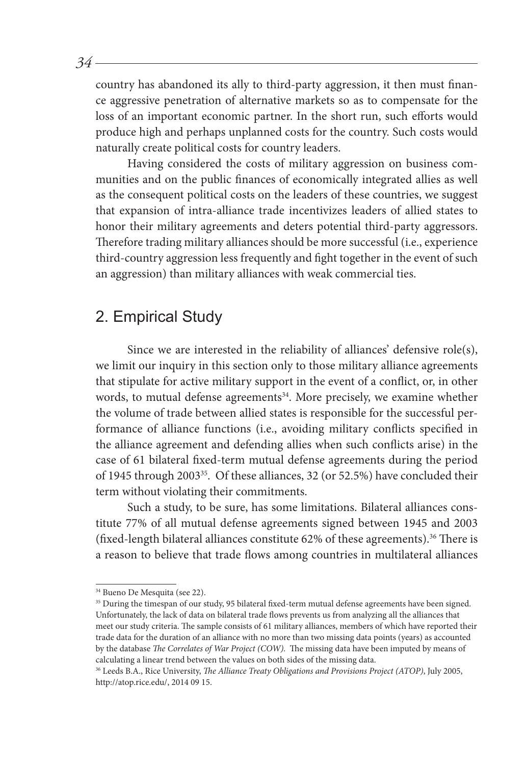country has abandoned its ally to third-party aggression, it then must finance aggressive penetration of alternative markets so as to compensate for the loss of an important economic partner. In the short run, such efforts would produce high and perhaps unplanned costs for the country. Such costs would naturally create political costs for country leaders.

Having considered the costs of military aggression on business communities and on the public finances of economically integrated allies as well as the consequent political costs on the leaders of these countries, we suggest that expansion of intra-alliance trade incentivizes leaders of allied states to honor their military agreements and deters potential third-party aggressors. Therefore trading military alliances should be more successful (i.e., experience third-country aggression less frequently and fight together in the event of such an aggression) than military alliances with weak commercial ties.

### 2. Empirical Study

Since we are interested in the reliability of alliances' defensive role(s), we limit our inquiry in this section only to those military alliance agreements that stipulate for active military support in the event of a conflict, or, in other words, to mutual defense agreements<sup>34</sup>. More precisely, we examine whether the volume of trade between allied states is responsible for the successful performance of alliance functions (i.e., avoiding military conflicts specified in the alliance agreement and defending allies when such conflicts arise) in the case of 61 bilateral fixed-term mutual defense agreements during the period of 1945 through 200335. Of these alliances, 32 (or 52.5%) have concluded their term without violating their commitments.

Such a study, to be sure, has some limitations. Bilateral alliances constitute 77% of all mutual defense agreements signed between 1945 and 2003 (fixed-length bilateral alliances constitute  $62\%$  of these agreements).<sup>36</sup> There is a reason to believe that trade flows among countries in multilateral alliances

<sup>34</sup> Bueno De Mesquita (see 22).

<sup>&</sup>lt;sup>35</sup> During the timespan of our study, 95 bilateral fixed-term mutual defense agreements have been signed. Unfortunately, the lack of data on bilateral trade flows prevents us from analyzing all the alliances that meet our study criteria. The sample consists of 61 military alliances, members of which have reported their trade data for the duration of an alliance with no more than two missing data points (years) as accounted by the database *The Correlates of War Project (COW).* The missing data have been imputed by means of calculating a linear trend between the values on both sides of the missing data.

<sup>36</sup> Leeds B.A., Rice University, *The Alliance Treaty Obligations and Provisions Project (ATOP)*, July 2005, http://atop.rice.edu/, 2014 09 15.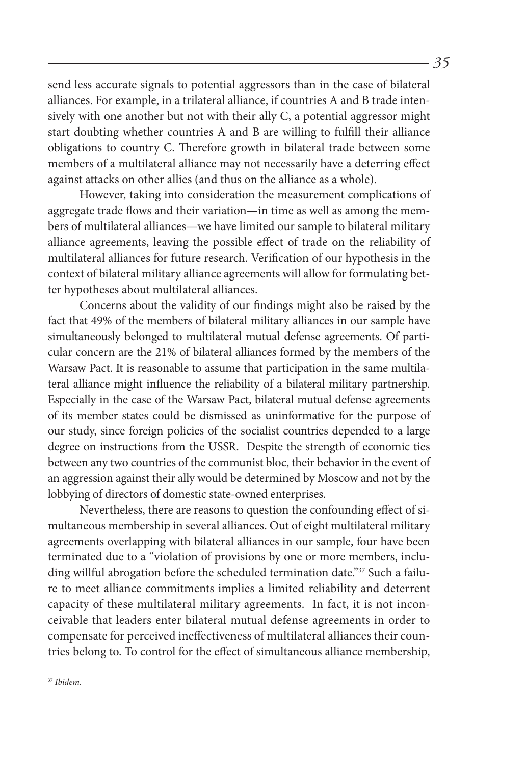send less accurate signals to potential aggressors than in the case of bilateral alliances. For example, in a trilateral alliance, if countries A and B trade intensively with one another but not with their ally C, a potential aggressor might start doubting whether countries A and B are willing to fulfill their alliance obligations to country C. Therefore growth in bilateral trade between some members of a multilateral alliance may not necessarily have a deterring effect against attacks on other allies (and thus on the alliance as a whole).

However, taking into consideration the measurement complications of aggregate trade flows and their variation—in time as well as among the members of multilateral alliances—we have limited our sample to bilateral military alliance agreements, leaving the possible effect of trade on the reliability of multilateral alliances for future research. Verification of our hypothesis in the context of bilateral military alliance agreements will allow for formulating better hypotheses about multilateral alliances.

Concerns about the validity of our findings might also be raised by the fact that 49% of the members of bilateral military alliances in our sample have simultaneously belonged to multilateral mutual defense agreements. Of particular concern are the 21% of bilateral alliances formed by the members of the Warsaw Pact. It is reasonable to assume that participation in the same multilateral alliance might influence the reliability of a bilateral military partnership. Especially in the case of the Warsaw Pact, bilateral mutual defense agreements of its member states could be dismissed as uninformative for the purpose of our study, since foreign policies of the socialist countries depended to a large degree on instructions from the USSR. Despite the strength of economic ties between any two countries of the communist bloc, their behavior in the event of an aggression against their ally would be determined by Moscow and not by the lobbying of directors of domestic state-owned enterprises.

Nevertheless, there are reasons to question the confounding effect of simultaneous membership in several alliances. Out of eight multilateral military agreements overlapping with bilateral alliances in our sample, four have been terminated due to a "violation of provisions by one or more members, including willful abrogation before the scheduled termination date."<sup>37</sup> Such a failure to meet alliance commitments implies a limited reliability and deterrent capacity of these multilateral military agreements. In fact, it is not inconceivable that leaders enter bilateral mutual defense agreements in order to compensate for perceived ineffectiveness of multilateral alliances their countries belong to. To control for the effect of simultaneous alliance membership,

<sup>37</sup> *Ibidem.*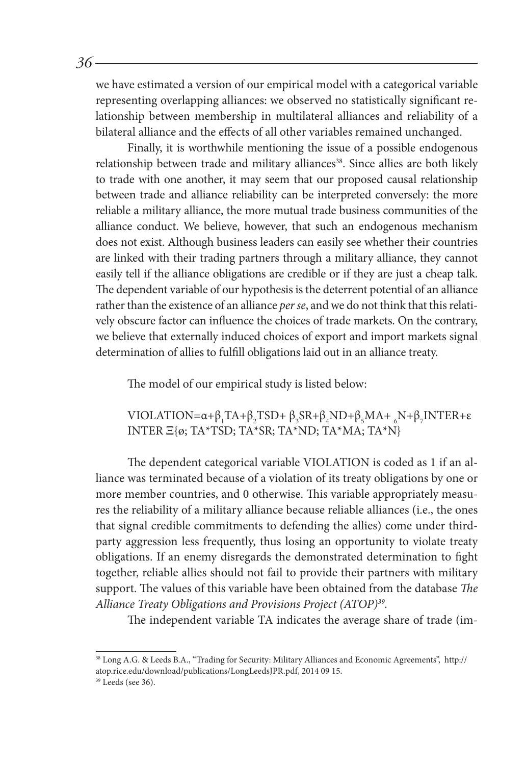we have estimated a version of our empirical model with a categorical variable representing overlapping alliances: we observed no statistically significant relationship between membership in multilateral alliances and reliability of a bilateral alliance and the effects of all other variables remained unchanged.

Finally, it is worthwhile mentioning the issue of a possible endogenous relationship between trade and military alliances<sup>38</sup>. Since allies are both likely to trade with one another, it may seem that our proposed causal relationship between trade and alliance reliability can be interpreted conversely: the more reliable a military alliance, the more mutual trade business communities of the alliance conduct. We believe, however, that such an endogenous mechanism does not exist. Although business leaders can easily see whether their countries are linked with their trading partners through a military alliance, they cannot easily tell if the alliance obligations are credible or if they are just a cheap talk. The dependent variable of our hypothesis is the deterrent potential of an alliance rather than the existence of an alliance *per se*, and we do not think that this relatively obscure factor can influence the choices of trade markets. On the contrary, we believe that externally induced choices of export and import markets signal determination of allies to fulfill obligations laid out in an alliance treaty.

The model of our empirical study is listed below:

VIOLATION= $\alpha + \beta_1 TA + \beta_2 TSD + \beta_3 SR + \beta_4 ND + \beta_5 MA + \beta_6 N + \beta_7 INTER + ε$ INTER Ξ{ø; TA\*TSD; TA\*SR; TA\*ND; TA\*MA; TA\*N}

The dependent categorical variable VIOLATION is coded as 1 if an alliance was terminated because of a violation of its treaty obligations by one or more member countries, and 0 otherwise. This variable appropriately measures the reliability of a military alliance because reliable alliances (i.e., the ones that signal credible commitments to defending the allies) come under thirdparty aggression less frequently, thus losing an opportunity to violate treaty obligations. If an enemy disregards the demonstrated determination to fight together, reliable allies should not fail to provide their partners with military support. The values of this variable have been obtained from the database *The Alliance Treaty Obligations and Provisions Project (ATOP)39.*

The independent variable TA indicates the average share of trade (im-

<sup>38</sup> Long A.G. & Leeds B.A., "Trading for Security: Military Alliances and Economic Agreements", http:// atop.rice.edu/download/publications/LongLeedsJPR.pdf, 2014 09 15.

<sup>&</sup>lt;sup>39</sup> Leeds (see 36).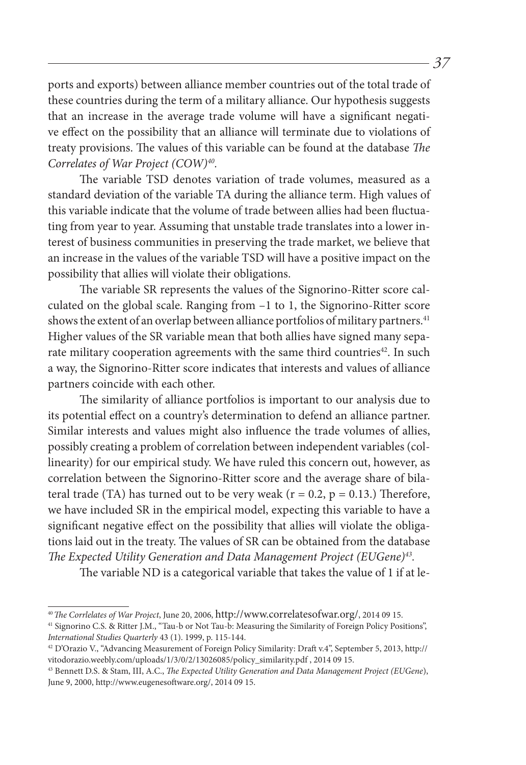ports and exports) between alliance member countries out of the total trade of these countries during the term of a military alliance. Our hypothesis suggests that an increase in the average trade volume will have a significant negative effect on the possibility that an alliance will terminate due to violations of treaty provisions. The values of this variable can be found at the database *The Correlates of War Project (COW)40.*

The variable TSD denotes variation of trade volumes, measured as a standard deviation of the variable TA during the alliance term. High values of this variable indicate that the volume of trade between allies had been fluctuating from year to year. Assuming that unstable trade translates into a lower interest of business communities in preserving the trade market, we believe that an increase in the values of the variable TSD will have a positive impact on the possibility that allies will violate their obligations.

The variable SR represents the values of the Signorino-Ritter score calculated on the global scale. Ranging from –1 to 1, the Signorino-Ritter score shows the extent of an overlap between alliance portfolios of military partners.<sup>41</sup> Higher values of the SR variable mean that both allies have signed many separate military cooperation agreements with the same third countries<sup>42</sup>. In such a way, the Signorino-Ritter score indicates that interests and values of alliance partners coincide with each other.

The similarity of alliance portfolios is important to our analysis due to its potential effect on a country's determination to defend an alliance partner. Similar interests and values might also influence the trade volumes of allies, possibly creating a problem of correlation between independent variables (collinearity) for our empirical study. We have ruled this concern out, however, as correlation between the Signorino-Ritter score and the average share of bilateral trade (TA) has turned out to be very weak ( $r = 0.2$ ,  $p = 0.13$ .) Therefore, we have included SR in the empirical model, expecting this variable to have a significant negative effect on the possibility that allies will violate the obligations laid out in the treaty. The values of SR can be obtained from the database *The Expected Utility Generation and Data Management Project (EUGene)43.*

The variable ND is a categorical variable that takes the value of 1 if at le-

<sup>40</sup>*The Corrlelates of War Project*, June 20, 2006, http://www.correlatesofwar.org/, 2014 09 15. 41 Signorino C.S. & Ritter J.M., "Tau-b or Not Tau-b: Measuring the Similarity of Foreign Policy Positions",

*International Studies Quarterly* 43 (1). 1999, p. 115-144.

<sup>42</sup> D'Orazio V., "Advancing Measurement of Foreign Policy Similarity: Draft v.4", September 5, 2013, http:// vitodorazio.weebly.com/uploads/1/3/0/2/13026085/policy\_similarity.pdf , 2014 09 15.

<sup>43</sup> Bennett D.S. & Stam, III, A.C., *The Expected Utility Generation and Data Management Project (EUGene*), June 9, 2000, http://www.eugenesoftware.org/, 2014 09 15.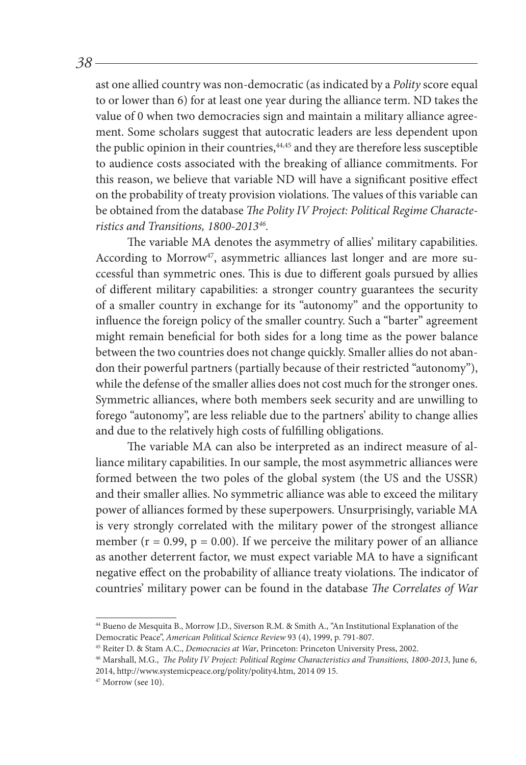ast one allied country was non-democratic (as indicated by a *Polity* score equal to or lower than 6) for at least one year during the alliance term. ND takes the value of 0 when two democracies sign and maintain a military alliance agreement. Some scholars suggest that autocratic leaders are less dependent upon the public opinion in their countries,<sup>44,45</sup> and they are therefore less susceptible to audience costs associated with the breaking of alliance commitments. For this reason, we believe that variable ND will have a significant positive effect on the probability of treaty provision violations. The values of this variable can be obtained from the database *The Polity IV Project: Political Regime Characteristics and Transitions, 1800-201346.*

The variable MA denotes the asymmetry of allies' military capabilities. According to Morrow<sup>47</sup>, asymmetric alliances last longer and are more successful than symmetric ones. This is due to different goals pursued by allies of different military capabilities: a stronger country guarantees the security of a smaller country in exchange for its "autonomy" and the opportunity to influence the foreign policy of the smaller country. Such a "barter" agreement might remain beneficial for both sides for a long time as the power balance between the two countries does not change quickly. Smaller allies do not abandon their powerful partners (partially because of their restricted "autonomy"), while the defense of the smaller allies does not cost much for the stronger ones. Symmetric alliances, where both members seek security and are unwilling to forego "autonomy", are less reliable due to the partners' ability to change allies and due to the relatively high costs of fulfilling obligations.

The variable MA can also be interpreted as an indirect measure of alliance military capabilities. In our sample, the most asymmetric alliances were formed between the two poles of the global system (the US and the USSR) and their smaller allies. No symmetric alliance was able to exceed the military power of alliances formed by these superpowers. Unsurprisingly, variable MA is very strongly correlated with the military power of the strongest alliance member ( $r = 0.99$ ,  $p = 0.00$ ). If we perceive the military power of an alliance as another deterrent factor, we must expect variable MA to have a significant negative effect on the probability of alliance treaty violations. The indicator of countries' military power can be found in the database *The Correlates of War* 

<sup>44</sup> Bueno de Mesquita B., Morrow J.D., Siverson R.M. & Smith A., "An Institutional Explanation of the Democratic Peace", *American Political Science Review* 93 (4), 1999, p. 791-807.

<sup>&</sup>lt;sup>46</sup> Marshall, M.G., *The Polity IV Project: Political Regime Characteristics and Transitions, 1800-2013*, June 6, 2014, http://www.systemicpeace.org/polity/polity4.htm, 2014 09 15.

 $47$  Morrow (see 10).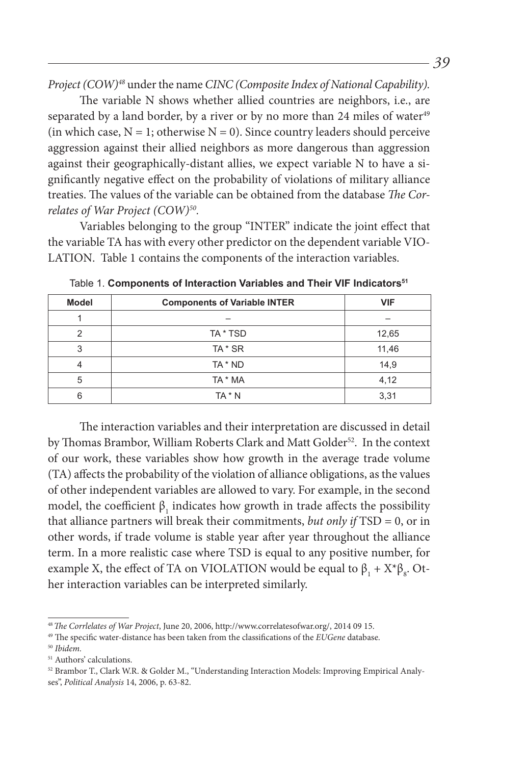*Project (COW)48* under the name *CINC (Composite Index of National Capability).*

The variable N shows whether allied countries are neighbors, i.e., are separated by a land border, by a river or by no more than 24 miles of water<sup>49</sup> (in which case,  $N = 1$ ; otherwise  $N = 0$ ). Since country leaders should perceive aggression against their allied neighbors as more dangerous than aggression against their geographically-distant allies, we expect variable N to have a significantly negative effect on the probability of violations of military alliance treaties. The values of the variable can be obtained from the database *The Correlates of War Project (COW)50.*

Variables belonging to the group "INTER" indicate the joint effect that the variable TA has with every other predictor on the dependent variable VIO-LATION. Table 1 contains the components of the interaction variables.

| <b>Model</b> | <b>Components of Variable INTER</b> | <b>VIF</b> |  |  |
|--------------|-------------------------------------|------------|--|--|
|              |                                     |            |  |  |
| າ            | TA * TSD                            | 12,65      |  |  |
| 3            | TA * SR                             | 11,46      |  |  |
|              | TA * ND                             | 14,9       |  |  |
| 5            | TA * MA                             | 4,12       |  |  |
|              | TA * N                              | 3,31       |  |  |

Table 1. Components of Interaction Variables and Their VIF Indicators<sup>51</sup>

The interaction variables and their interpretation are discussed in detail by Thomas Brambor, William Roberts Clark and Matt Golder<sup>52</sup>. In the context of our work, these variables show how growth in the average trade volume (TA) affects the probability of the violation of alliance obligations, as the values of other independent variables are allowed to vary. For example, in the second model, the coefficient  $\beta_1$  indicates how growth in trade affects the possibility that alliance partners will break their commitments, *but only if* TSD = 0, or in other words, if trade volume is stable year after year throughout the alliance term. In a more realistic case where TSD is equal to any positive number, for example X, the effect of TA on VIOLATION would be equal to  $\beta_1 + X^*\beta_8$ . Other interaction variables can be interpreted similarly.

<sup>48</sup>*The Corrlelates of War Project*, June 20, 2006, http://www.correlatesofwar.org/, 2014 09 15. 49 The specific water-distance has been taken from the classifications of the *EUGene* database. 50 *Ibidem.*

<sup>51</sup> Authors' calculations.

<sup>52</sup> Brambor T., Clark W.R. & Golder M., "Understanding Interaction Models: Improving Empirical Analyses", *Political Analysis* 14, 2006, p. 63-82.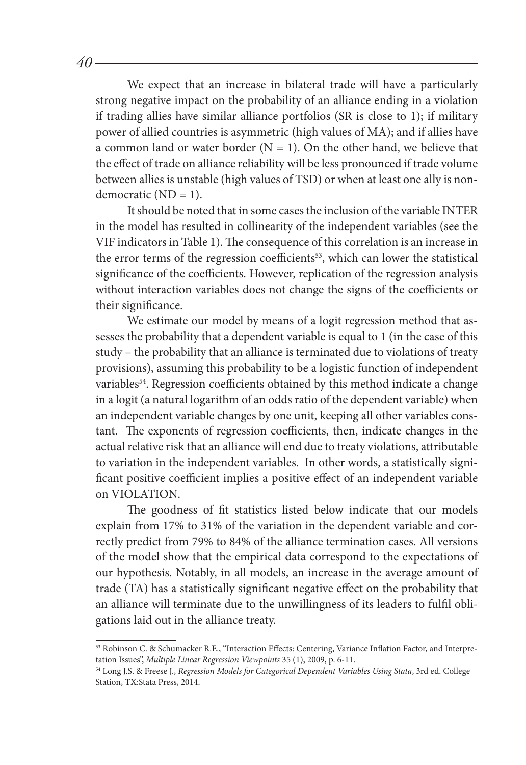We expect that an increase in bilateral trade will have a particularly strong negative impact on the probability of an alliance ending in a violation if trading allies have similar alliance portfolios (SR is close to 1); if military power of allied countries is asymmetric (high values of MA); and if allies have a common land or water border  $(N = 1)$ . On the other hand, we believe that the effect of trade on alliance reliability will be less pronounced if trade volume between allies is unstable (high values of TSD) or when at least one ally is nondemocratic (ND = 1).

It should be noted that in some cases the inclusion of the variable INTER in the model has resulted in collinearity of the independent variables (see the VIF indicators in Table 1). The consequence of this correlation is an increase in the error terms of the regression coefficients<sup>53</sup>, which can lower the statistical significance of the coefficients. However, replication of the regression analysis without interaction variables does not change the signs of the coefficients or their significance.

We estimate our model by means of a logit regression method that assesses the probability that a dependent variable is equal to 1 (in the case of this study – the probability that an alliance is terminated due to violations of treaty provisions), assuming this probability to be a logistic function of independent variables<sup>54</sup>. Regression coefficients obtained by this method indicate a change in a logit (a natural logarithm of an odds ratio of the dependent variable) when an independent variable changes by one unit, keeping all other variables constant. The exponents of regression coefficients, then, indicate changes in the actual relative risk that an alliance will end due to treaty violations, attributable to variation in the independent variables. In other words, a statistically significant positive coefficient implies a positive effect of an independent variable on VIOLATION.

The goodness of fit statistics listed below indicate that our models explain from 17% to 31% of the variation in the dependent variable and correctly predict from 79% to 84% of the alliance termination cases. All versions of the model show that the empirical data correspond to the expectations of our hypothesis. Notably, in all models, an increase in the average amount of trade (TA) has a statistically significant negative effect on the probability that an alliance will terminate due to the unwillingness of its leaders to fulfil obligations laid out in the alliance treaty.

<sup>53</sup> Robinson C. & Schumacker R.E., "Interaction Effects: Centering, Variance Inflation Factor, and Interpretation Issues", *Multiple Linear Regression Viewpoints* 35 (1), 2009, p. 6-11.

<sup>54</sup> Long J.S. & Freese J., *Regression Models for Categorical Dependent Variables Using Stata*, 3rd ed. College Station, TX:Stata Press, 2014.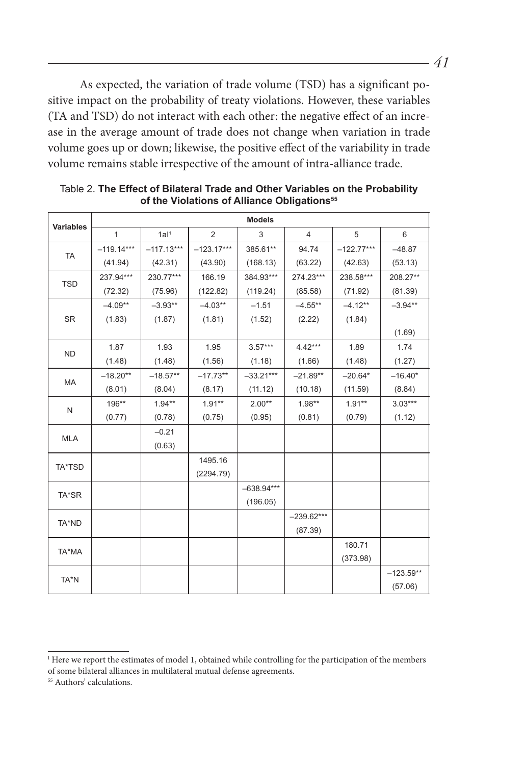As expected, the variation of trade volume (TSD) has a significant positive impact on the probability of treaty violations. However, these variables (TA and TSD) do not interact with each other: the negative effect of an increase in the average amount of trade does not change when variation in trade volume goes up or down; likewise, the positive effect of the variability in trade volume remains stable irrespective of the amount of intra-alliance trade.

| <b>Variables</b> | <b>Models</b> |                  |                |              |                |              |             |  |
|------------------|---------------|------------------|----------------|--------------|----------------|--------------|-------------|--|
|                  | $\mathbf{1}$  | 1al <sup>1</sup> | $\overline{2}$ | 3            | $\overline{4}$ | 5            | 6           |  |
| <b>TA</b>        | $-119.14***$  | $-117.13***$     | $-123.17***$   | 385.61**     | 94.74          | $-122.77***$ | $-48.87$    |  |
|                  | (41.94)       | (42.31)          | (43.90)        | (168.13)     | (63.22)        | (42.63)      | (53.13)     |  |
| <b>TSD</b>       | 237.94***     | 230.77***        | 166.19         | 384.93***    | 274.23***      | 238.58***    | 208.27**    |  |
|                  | (72.32)       | (75.96)          | (122.82)       | (119.24)     | (85.58)        | (71.92)      | (81.39)     |  |
| <b>SR</b>        | $-4.09**$     | $-3.93**$        | $-4.03**$      | $-1.51$      | $-4.55**$      | $-4.12**$    | $-3.94**$   |  |
|                  | (1.83)        | (1.87)           | (1.81)         | (1.52)       | (2.22)         | (1.84)       |             |  |
|                  |               |                  |                |              |                |              | (1.69)      |  |
| <b>ND</b>        | 1.87          | 1.93             | 1.95           | $3.57***$    | $4.42***$      | 1.89         | 1.74        |  |
|                  | (1.48)        | (1.48)           | (1.56)         | (1.18)       | (1.66)         | (1.48)       | (1.27)      |  |
| <b>MA</b>        | $-18.20**$    | $-18.57**$       | $-17.73**$     | $-33.21***$  | $-21.89**$     | $-20.64*$    | $-16.40*$   |  |
|                  | (8.01)        | (8.04)           | (8.17)         | (11.12)      | (10.18)        | (11.59)      | (8.84)      |  |
| N                | 196**         | $1.94**$         | $1.91**$       | $2.00**$     | $1.98**$       | $1.91**$     | $3.03***$   |  |
|                  | (0.77)        | (0.78)           | (0.75)         | (0.95)       | (0.81)         | (0.79)       | (1.12)      |  |
| <b>MLA</b>       |               | $-0.21$          |                |              |                |              |             |  |
|                  |               | (0.63)           |                |              |                |              |             |  |
| TA*TSD           |               |                  | 1495.16        |              |                |              |             |  |
|                  |               |                  | (2294.79)      |              |                |              |             |  |
| TA*SR            |               |                  |                | $-638.94***$ |                |              |             |  |
|                  |               |                  |                | (196.05)     |                |              |             |  |
| TA*ND            |               |                  |                |              | $-239.62***$   |              |             |  |
|                  |               |                  |                |              | (87.39)        |              |             |  |
| TA*MA            |               |                  |                |              |                | 180.71       |             |  |
|                  |               |                  |                |              |                | (373.98)     |             |  |
| TA*N             |               |                  |                |              |                |              | $-123.59**$ |  |
|                  |               |                  |                |              |                |              | (57.06)     |  |

Table 2. **The Effect of Bilateral Trade and Other Variables on the Probability**  of the Violations of Alliance Obligations<sup>55</sup>

<sup>&</sup>lt;sup>I</sup> Here we report the estimates of model 1, obtained while controlling for the participation of the members of some bilateral alliances in multilateral mutual defense agreements.

<sup>55</sup> Authors' calculations.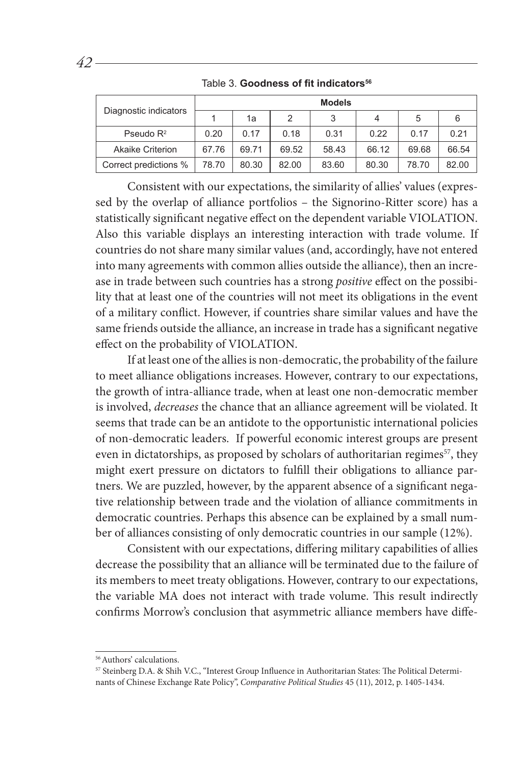|                         | <b>Models</b> |       |       |       |       |       |       |
|-------------------------|---------------|-------|-------|-------|-------|-------|-------|
| Diagnostic indicators   |               | 1a    | 2     | 3     | 4     | 5     | 6     |
| Pseudo $R^2$            | 0.20          | 0.17  | 0.18  | 0.31  | 0.22  | 0.17  | 0.21  |
| <b>Akaike Criterion</b> | 67.76         | 69.71 | 69.52 | 58.43 | 66.12 | 69.68 | 66.54 |
| Correct predictions %   | 78.70         | 80.30 | 82.00 | 83.60 | 80.30 | 78.70 | 82.00 |

Table 3. **Goodness of fit indicators<sup>56</sup>**

Consistent with our expectations, the similarity of allies' values (expressed by the overlap of alliance portfolios – the Signorino-Ritter score) has a statistically significant negative effect on the dependent variable VIOLATION. Also this variable displays an interesting interaction with trade volume. If countries do not share many similar values (and, accordingly, have not entered into many agreements with common allies outside the alliance), then an increase in trade between such countries has a strong *positive* effect on the possibility that at least one of the countries will not meet its obligations in the event of a military conflict. However, if countries share similar values and have the same friends outside the alliance, an increase in trade has a significant negative effect on the probability of VIOLATION.

If at least one of the allies is non-democratic, the probability of the failure to meet alliance obligations increases. However, contrary to our expectations, the growth of intra-alliance trade, when at least one non-democratic member is involved, *decreases* the chance that an alliance agreement will be violated. It seems that trade can be an antidote to the opportunistic international policies of non-democratic leaders. If powerful economic interest groups are present even in dictatorships, as proposed by scholars of authoritarian regimes<sup>57</sup>, they might exert pressure on dictators to fulfill their obligations to alliance partners. We are puzzled, however, by the apparent absence of a significant negative relationship between trade and the violation of alliance commitments in democratic countries. Perhaps this absence can be explained by a small number of alliances consisting of only democratic countries in our sample (12%).

Consistent with our expectations, differing military capabilities of allies decrease the possibility that an alliance will be terminated due to the failure of its members to meet treaty obligations. However, contrary to our expectations, the variable MA does not interact with trade volume. This result indirectly confirms Morrow's conclusion that asymmetric alliance members have diffe-

<sup>&</sup>lt;sup>56</sup> Authors' calculations.

<sup>57</sup> Steinberg D.A. & Shih V.C., "Interest Group Influence in Authoritarian States: The Political Determinants of Chinese Exchange Rate Policy", *Comparative Political Studies* 45 (11), 2012, p. 1405-1434.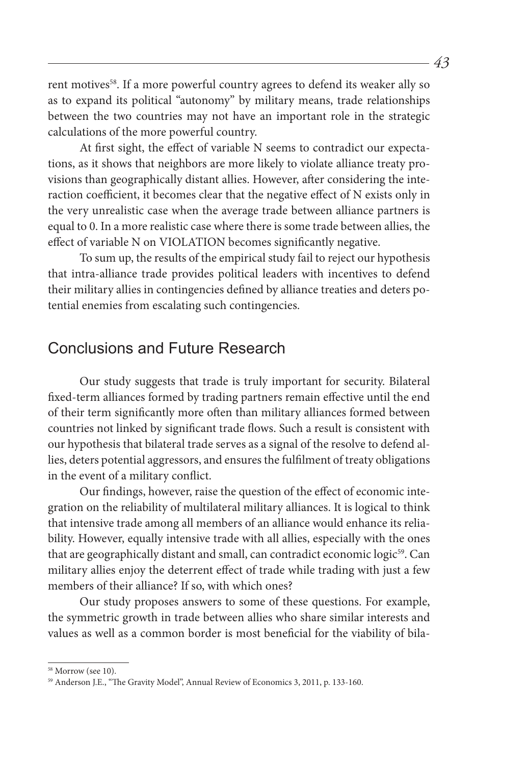rent motives<sup>58</sup>. If a more powerful country agrees to defend its weaker ally so as to expand its political "autonomy" by military means, trade relationships between the two countries may not have an important role in the strategic calculations of the more powerful country.

At first sight, the effect of variable N seems to contradict our expectations, as it shows that neighbors are more likely to violate alliance treaty provisions than geographically distant allies. However, after considering the interaction coefficient, it becomes clear that the negative effect of N exists only in the very unrealistic case when the average trade between alliance partners is equal to 0. In a more realistic case where there is some trade between allies, the effect of variable N on VIOLATION becomes significantly negative.

To sum up, the results of the empirical study fail to reject our hypothesis that intra-alliance trade provides political leaders with incentives to defend their military allies in contingencies defined by alliance treaties and deters potential enemies from escalating such contingencies.

#### Conclusions and Future Research

Our study suggests that trade is truly important for security. Bilateral fixed-term alliances formed by trading partners remain effective until the end of their term significantly more often than military alliances formed between countries not linked by significant trade flows. Such a result is consistent with our hypothesis that bilateral trade serves as a signal of the resolve to defend allies, deters potential aggressors, and ensures the fulfilment of treaty obligations in the event of a military conflict.

Our findings, however, raise the question of the effect of economic integration on the reliability of multilateral military alliances. It is logical to think that intensive trade among all members of an alliance would enhance its reliability. However, equally intensive trade with all allies, especially with the ones that are geographically distant and small, can contradict economic logic<sup>59</sup>. Can military allies enjoy the deterrent effect of trade while trading with just a few members of their alliance? If so, with which ones?

Our study proposes answers to some of these questions. For example, the symmetric growth in trade between allies who share similar interests and values as well as a common border is most beneficial for the viability of bila-

<sup>&</sup>lt;sup>58</sup> Morrow (see 10).

<sup>59</sup> Anderson J.E., "The Gravity Model", Annual Review of Economics 3, 2011, p. 133-160.